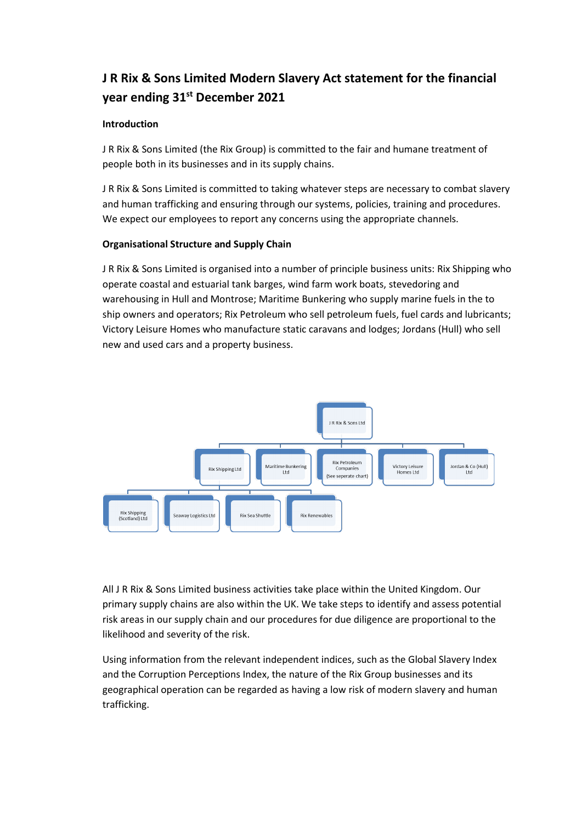# **J R Rix & Sons Limited Modern Slavery Act statement for the financial year ending 31st December 2021**

## **Introduction**

J R Rix & Sons Limited (the Rix Group) is committed to the fair and humane treatment of people both in its businesses and in its supply chains.

J R Rix & Sons Limited is committed to taking whatever steps are necessary to combat slavery and human trafficking and ensuring through our systems, policies, training and procedures. We expect our employees to report any concerns using the appropriate channels.

## **Organisational Structure and Supply Chain**

J R Rix & Sons Limited is organised into a number of principle business units: Rix Shipping who operate coastal and estuarial tank barges, wind farm work boats, stevedoring and warehousing in Hull and Montrose; Maritime Bunkering who supply marine fuels in the to ship owners and operators; Rix Petroleum who sell petroleum fuels, fuel cards and lubricants; Victory Leisure Homes who manufacture static caravans and lodges; Jordans (Hull) who sell new and used cars and a property business.



All J R Rix & Sons Limited business activities take place within the United Kingdom. Our primary supply chains are also within the UK. We take steps to identify and assess potential risk areas in our supply chain and our procedures for due diligence are proportional to the likelihood and severity of the risk.

Using information from the relevant independent indices, such as the Global Slavery Index and the Corruption Perceptions Index, the nature of the Rix Group businesses and its geographical operation can be regarded as having a low risk of modern slavery and human trafficking.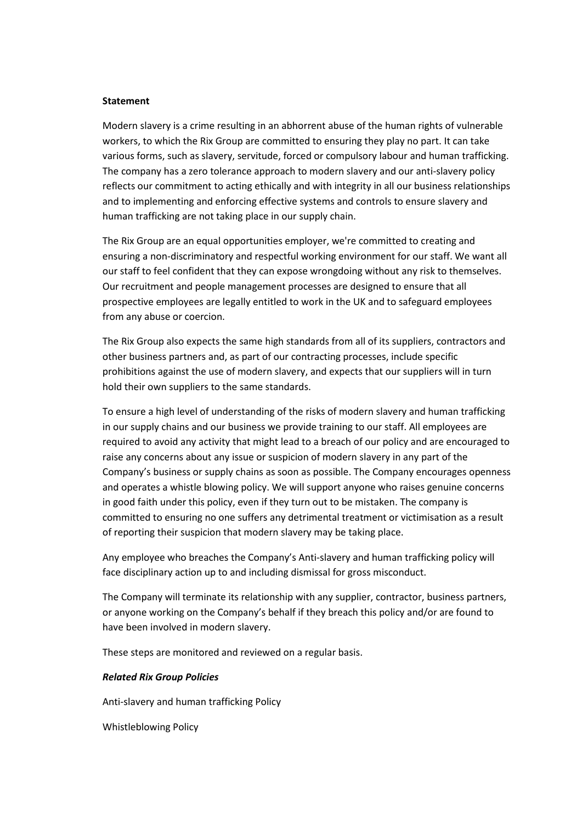#### **Statement**

Modern slavery is a crime resulting in an abhorrent abuse of the human rights of vulnerable workers, to which the Rix Group are committed to ensuring they play no part. It can take various forms, such as slavery, servitude, forced or compulsory labour and human trafficking. The company has a zero tolerance approach to modern slavery and our anti-slavery policy reflects our commitment to acting ethically and with integrity in all our business relationships and to implementing and enforcing effective systems and controls to ensure slavery and human trafficking are not taking place in our supply chain.

The Rix Group are an equal opportunities employer, we're committed to creating and ensuring a non-discriminatory and respectful working environment for our staff. We want all our staff to feel confident that they can expose wrongdoing without any risk to themselves. Our recruitment and people management processes are designed to ensure that all prospective employees are legally entitled to work in the UK and to safeguard employees from any abuse or coercion.

The Rix Group also expects the same high standards from all of its suppliers, contractors and other business partners and, as part of our contracting processes, include specific prohibitions against the use of modern slavery, and expects that our suppliers will in turn hold their own suppliers to the same standards.

To ensure a high level of understanding of the risks of modern slavery and human trafficking in our supply chains and our business we provide training to our staff. All employees are required to avoid any activity that might lead to a breach of our policy and are encouraged to raise any concerns about any issue or suspicion of modern slavery in any part of the Company's business or supply chains as soon as possible. The Company encourages openness and operates a whistle blowing policy. We will support anyone who raises genuine concerns in good faith under this policy, even if they turn out to be mistaken. The company is committed to ensuring no one suffers any detrimental treatment or victimisation as a result of reporting their suspicion that modern slavery may be taking place.

Any employee who breaches the Company's Anti-slavery and human trafficking policy will face disciplinary action up to and including dismissal for gross misconduct.

The Company will terminate its relationship with any supplier, contractor, business partners, or anyone working on the Company's behalf if they breach this policy and/or are found to have been involved in modern slavery.

These steps are monitored and reviewed on a regular basis.

#### *Related Rix Group Policies*

Anti-slavery and human trafficking Policy

Whistleblowing Policy